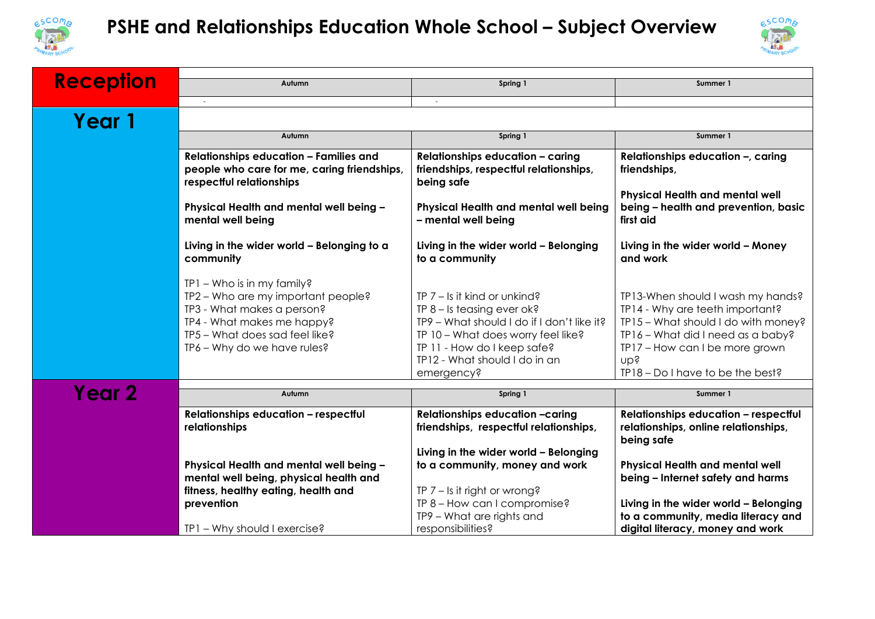



| <b>Reception</b> |                                                                                                                                                                                               |                                                                                                                                                                                                                                  |                                                                                                                                                                                                                               |  |
|------------------|-----------------------------------------------------------------------------------------------------------------------------------------------------------------------------------------------|----------------------------------------------------------------------------------------------------------------------------------------------------------------------------------------------------------------------------------|-------------------------------------------------------------------------------------------------------------------------------------------------------------------------------------------------------------------------------|--|
|                  | Autumn                                                                                                                                                                                        | Spring 1                                                                                                                                                                                                                         | Summer 1                                                                                                                                                                                                                      |  |
|                  |                                                                                                                                                                                               | $\sim$                                                                                                                                                                                                                           |                                                                                                                                                                                                                               |  |
| Year 1           |                                                                                                                                                                                               |                                                                                                                                                                                                                                  |                                                                                                                                                                                                                               |  |
|                  | Autumn                                                                                                                                                                                        | Spring 1                                                                                                                                                                                                                         | Summer 1                                                                                                                                                                                                                      |  |
|                  | <b>Relationships education - Families and</b><br>people who care for me, caring friendships,<br>respectful relationships                                                                      | <b>Relationships education - caring</b><br>friendships, respectful relationships,<br>being safe                                                                                                                                  | Relationships education -, caring<br>friendships,                                                                                                                                                                             |  |
|                  | Physical Health and mental well being -<br>mental well being                                                                                                                                  | Physical Health and mental well being<br>- mental well being                                                                                                                                                                     | <b>Physical Health and mental well</b><br>being - health and prevention, basic<br>first aid                                                                                                                                   |  |
|                  | Living in the wider world - Belonging to a<br>community                                                                                                                                       | Living in the wider world - Belonging<br>to a community                                                                                                                                                                          | Living in the wider world - Money<br>and work                                                                                                                                                                                 |  |
|                  | TP1 - Who is in my family?<br>TP2 - Who are my important people?<br>TP3 - What makes a person?<br>TP4 - What makes me happy?<br>TP5 - What does sad feel like?<br>TP6 - Why do we have rules? | TP $7 -$ Is it kind or unkind?<br>TP $8 -$ Is teasing ever ok?<br>TP9 - What should I do if I don't like it?<br>TP 10 - What does worry feel like?<br>TP 11 - How do I keep safe?<br>TP12 - What should I do in an<br>emergency? | TP13-When should I wash my hands?<br>TP14 - Why are teeth important?<br>TP15 - What should I do with money?<br>TP16 - What did I need as a baby?<br>TP17 - How can I be more grown<br>nbs<br>TP18 - Do I have to be the best? |  |
| Year 2           | Autumn                                                                                                                                                                                        | Spring 1                                                                                                                                                                                                                         | Summer 1                                                                                                                                                                                                                      |  |
|                  | <b>Relationships education - respectful</b><br>relationships<br>Physical Health and mental well being -                                                                                       | Relationships education -caring<br>friendships, respectful relationships,<br>Living in the wider world - Belonging<br>to a community, money and work                                                                             | <b>Relationships education - respectful</b><br>relationships, online relationships,<br>being safe<br><b>Physical Health and mental well</b><br>being - Internet safety and harms                                              |  |
|                  | mental well being, physical health and<br>fitness, healthy eating, health and<br>prevention<br>TP1 - Why should I exercise?                                                                   | TP $7 -$ Is it right or wrong?<br>TP 8 - How can I compromise?<br>TP9 - What are rights and<br>responsibilities?                                                                                                                 | Living in the wider world - Belonging<br>to a community, media literacy and<br>digital literacy, money and work                                                                                                               |  |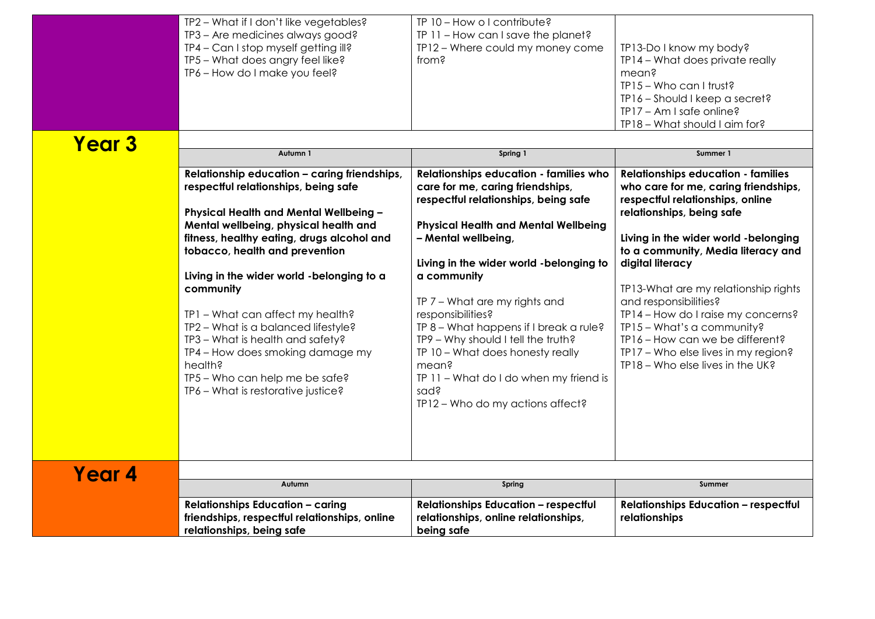|               | TP2 - What if I don't like vegetables?<br>TP3 - Are medicines always good?<br>TP4 - Can I stop myself getting ill?<br>TP5 - What does angry feel like?<br>TP6 - How do I make you feel?                                                                                                                                                                                                                                                                                                                                                                             | TP 10 - How o I contribute?<br>$IP 11 - How can I save the planet?$<br>TP12 - Where could my money come<br>from?                                                                                                                                                                                                                                                                                                                                                                                                                        | TP13-Do I know my body?<br>TP14 - What does private really<br>mean?<br>$IP15 - Who can Itrust?$<br>TP16 - Should I keep a secret?<br>TP17 - Am I safe online?<br>TP18 - What should I aim for?                                                                                                                                                                                                                                                                                                                       |
|---------------|---------------------------------------------------------------------------------------------------------------------------------------------------------------------------------------------------------------------------------------------------------------------------------------------------------------------------------------------------------------------------------------------------------------------------------------------------------------------------------------------------------------------------------------------------------------------|-----------------------------------------------------------------------------------------------------------------------------------------------------------------------------------------------------------------------------------------------------------------------------------------------------------------------------------------------------------------------------------------------------------------------------------------------------------------------------------------------------------------------------------------|----------------------------------------------------------------------------------------------------------------------------------------------------------------------------------------------------------------------------------------------------------------------------------------------------------------------------------------------------------------------------------------------------------------------------------------------------------------------------------------------------------------------|
| <b>Year 3</b> | Autumn 1<br>Relationship education - caring friendships,<br>respectful relationships, being safe<br>Physical Health and Mental Wellbeing -<br>Mental wellbeing, physical health and<br>fitness, healthy eating, drugs alcohol and<br>tobacco, health and prevention<br>Living in the wider world -belonging to a<br>community<br>TP1 - What can affect my health?<br>TP2 - What is a balanced lifestyle?<br>TP3 - What is health and safety?<br>TP4 - How does smoking damage my<br>health?<br>TP5 - Who can help me be safe?<br>TP6 - What is restorative justice? | Spring 1<br>Relationships education - families who<br>care for me, caring friendships,<br>respectful relationships, being safe<br><b>Physical Health and Mental Wellbeing</b><br>- Mental wellbeing,<br>Living in the wider world -belonging to<br>a community<br>TP 7 - What are my rights and<br>responsibilities?<br>TP 8 - What happens if I break a rule?<br>TP9 - Why should I tell the truth?<br>TP 10 - What does honesty really<br>mean?<br>TP 11 - What do I do when my friend is<br>sad?<br>TP12 - Who do my actions affect? | Summer 1<br><b>Relationships education - families</b><br>who care for me, caring friendships,<br>respectful relationships, online<br>relationships, being safe<br>Living in the wider world - belonging<br>to a community, Media literacy and<br>digital literacy<br>TP13-What are my relationship rights<br>and responsibilities?<br>TP14 - How do I raise my concerns?<br>TP15 - What's a community?<br>TP16 - How can we be different?<br>TP17 - Who else lives in my region?<br>TP18 - Who else lives in the UK? |
| Year 4        | Autumn<br><b>Relationships Education - caring</b><br>friendships, respectful relationships, online<br>relationships, being safe                                                                                                                                                                                                                                                                                                                                                                                                                                     | Spring<br><b>Relationships Education - respectful</b><br>relationships, online relationships,<br>being safe                                                                                                                                                                                                                                                                                                                                                                                                                             | Summer<br><b>Relationships Education - respectful</b><br>relationships                                                                                                                                                                                                                                                                                                                                                                                                                                               |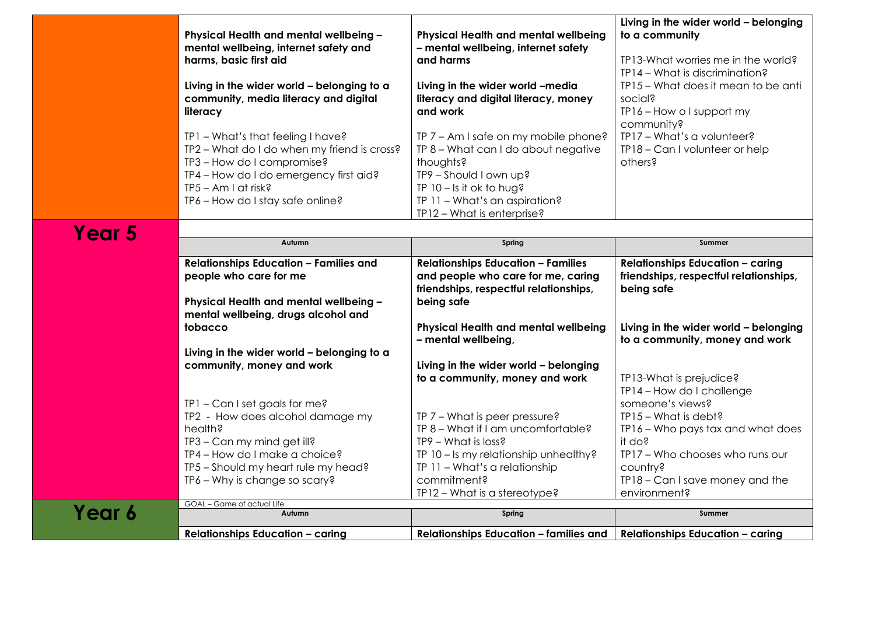|        | Physical Health and mental wellbeing -<br>mental wellbeing, internet safety and<br>harms, basic first aid<br>Living in the wider world - belonging to a<br>community, media literacy and digital<br>literacy<br>TP1 - What's that feeling I have?<br>TP2 - What do I do when my friend is cross?<br>TP3 - How do I compromise?<br>TP4 - How do I do emergency first aid?<br>TP5 - Am I at risk?<br>TP6 - How do I stay safe online? | Physical Health and mental wellbeing<br>- mental wellbeing, internet safety<br>and harms<br>Living in the wider world -media<br>literacy and digital literacy, money<br>and work<br>TP 7 - Am I safe on my mobile phone?<br>TP 8 - What can I do about negative<br>thoughts?<br>TP9 - Should I own up?<br>TP $10 - 1s$ it ok to hug?<br>TP 11 - What's an aspiration?<br>TP12 - What is enterprise? | Living in the wider world - belonging<br>to a community<br>TP13-What worries me in the world?<br>TP14 - What is discrimination?<br>TP15 - What does it mean to be anti<br>social?<br>TP16 - How o I support my<br>community?<br>TP17 - What's a volunteer?<br>TP18 - Can I volunteer or help<br>others? |
|--------|-------------------------------------------------------------------------------------------------------------------------------------------------------------------------------------------------------------------------------------------------------------------------------------------------------------------------------------------------------------------------------------------------------------------------------------|-----------------------------------------------------------------------------------------------------------------------------------------------------------------------------------------------------------------------------------------------------------------------------------------------------------------------------------------------------------------------------------------------------|---------------------------------------------------------------------------------------------------------------------------------------------------------------------------------------------------------------------------------------------------------------------------------------------------------|
|        |                                                                                                                                                                                                                                                                                                                                                                                                                                     |                                                                                                                                                                                                                                                                                                                                                                                                     |                                                                                                                                                                                                                                                                                                         |
| Year 5 | Autumn                                                                                                                                                                                                                                                                                                                                                                                                                              | Spring                                                                                                                                                                                                                                                                                                                                                                                              | Summer                                                                                                                                                                                                                                                                                                  |
|        | <b>Relationships Education - Families and</b><br>people who care for me<br>Physical Health and mental wellbeing -<br>mental wellbeing, drugs alcohol and                                                                                                                                                                                                                                                                            | <b>Relationships Education - Families</b><br>and people who care for me, caring<br>friendships, respectful relationships,<br>being safe                                                                                                                                                                                                                                                             | <b>Relationships Education - caring</b><br>friendships, respectful relationships,<br>being safe                                                                                                                                                                                                         |
|        | tobacco                                                                                                                                                                                                                                                                                                                                                                                                                             | Physical Health and mental wellbeing<br>- mental wellbeing,                                                                                                                                                                                                                                                                                                                                         | Living in the wider world - belonging<br>to a community, money and work                                                                                                                                                                                                                                 |
|        | Living in the wider world - belonging to a<br>community, money and work                                                                                                                                                                                                                                                                                                                                                             | Living in the wider world - belonging<br>to a community, money and work                                                                                                                                                                                                                                                                                                                             | TP13-What is prejudice?<br>TP14 - How do I challenge                                                                                                                                                                                                                                                    |
|        | $IP1 - Can I set goals for me?$<br>TP2 - How does alcohol damage my<br>health?<br>TP3 - Can my mind get ill?<br>TP4 - How do I make a choice?<br>TP5 - Should my heart rule my head?                                                                                                                                                                                                                                                | $TP 7 - What is peer pressure?$<br>TP 8 - What if I am uncomfortable?<br>TP9 - What is loss?<br>TP 10 - Is my relationship unhealthy?<br>TP 11 - What's a relationship                                                                                                                                                                                                                              | someone's views?<br>TP15 - What is debt?<br>TP16 - Who pays tax and what does<br>it do?<br>TP17 - Who chooses who runs our<br>country?                                                                                                                                                                  |
|        | TP6 - Why is change so scary?                                                                                                                                                                                                                                                                                                                                                                                                       | commitment?<br>$IP12 - What is a stereotype?$                                                                                                                                                                                                                                                                                                                                                       | TP18 - Can I save money and the<br>environment?                                                                                                                                                                                                                                                         |
|        | GOAL - Game of actual Life                                                                                                                                                                                                                                                                                                                                                                                                          |                                                                                                                                                                                                                                                                                                                                                                                                     |                                                                                                                                                                                                                                                                                                         |
| Year 6 | Autumn                                                                                                                                                                                                                                                                                                                                                                                                                              | Spring                                                                                                                                                                                                                                                                                                                                                                                              | <b>Summer</b>                                                                                                                                                                                                                                                                                           |
|        | <b>Relationships Education - caring</b>                                                                                                                                                                                                                                                                                                                                                                                             | <b>Relationships Education - families and</b>                                                                                                                                                                                                                                                                                                                                                       | <b>Relationships Education - caring</b>                                                                                                                                                                                                                                                                 |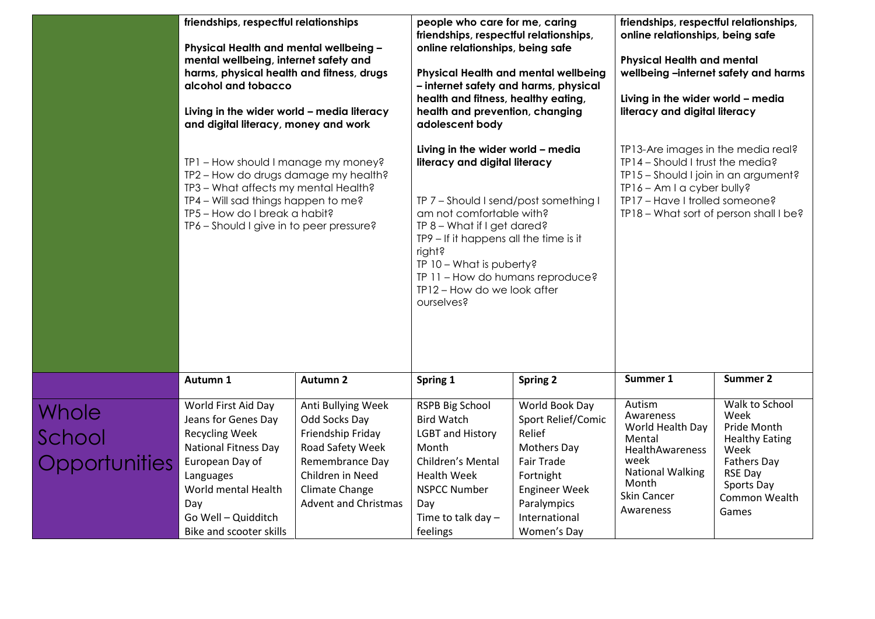|                                  | friendships, respectful relationships<br>Physical Health and mental wellbeing -<br>mental wellbeing, internet safety and<br>harms, physical health and fitness, drugs<br>alcohol and tobacco<br>Living in the wider world - media literacy<br>and digital literacy, money and work<br>TP1 - How should I manage my money?<br>TP2 - How do drugs damage my health?<br>TP3 - What affects my mental Health?<br>TP4 - Will sad things happen to me?<br>TP5 - How do I break a habit?<br>TP6 - Should I give in to peer pressure? |                                                                                                                                                                      | people who care for me, caring<br>friendships, respectful relationships,<br>online relationships, being safe<br>Physical Health and mental wellbeing<br>- internet safety and harms, physical<br>health and fitness, healthy eating,<br>health and prevention, changing<br>adolescent body<br>Living in the wider world - media<br>literacy and digital literacy<br>TP 7 - Should I send/post something I<br>am not comfortable with?<br>$IP 8 - What if I get dared?$<br>TP9 – If it happens all the time is it<br>right?<br>TP 10 - What is puberty?<br>TP 11 - How do humans reproduce?<br>TP12 - How do we look after<br>ourselves? |                                                                                                                                                                        | friendships, respectful relationships,<br>online relationships, being safe<br><b>Physical Health and mental</b><br>wellbeing -internet safety and harms<br>Living in the wider world - media<br>literacy and digital literacy<br>TP13-Are images in the media real?<br>TP14 - Should I trust the media?<br>TP15 - Should I join in an argument?<br>TP16 - Am I a cyber bully?<br>TP17 - Have I trolled someone?<br>TP18 - What sort of person shall I be? |                                                                                                                                                        |
|----------------------------------|-------------------------------------------------------------------------------------------------------------------------------------------------------------------------------------------------------------------------------------------------------------------------------------------------------------------------------------------------------------------------------------------------------------------------------------------------------------------------------------------------------------------------------|----------------------------------------------------------------------------------------------------------------------------------------------------------------------|-----------------------------------------------------------------------------------------------------------------------------------------------------------------------------------------------------------------------------------------------------------------------------------------------------------------------------------------------------------------------------------------------------------------------------------------------------------------------------------------------------------------------------------------------------------------------------------------------------------------------------------------|------------------------------------------------------------------------------------------------------------------------------------------------------------------------|-----------------------------------------------------------------------------------------------------------------------------------------------------------------------------------------------------------------------------------------------------------------------------------------------------------------------------------------------------------------------------------------------------------------------------------------------------------|--------------------------------------------------------------------------------------------------------------------------------------------------------|
|                                  |                                                                                                                                                                                                                                                                                                                                                                                                                                                                                                                               |                                                                                                                                                                      |                                                                                                                                                                                                                                                                                                                                                                                                                                                                                                                                                                                                                                         |                                                                                                                                                                        |                                                                                                                                                                                                                                                                                                                                                                                                                                                           |                                                                                                                                                        |
|                                  | Autumn 1                                                                                                                                                                                                                                                                                                                                                                                                                                                                                                                      | Autumn 2                                                                                                                                                             | Spring 1                                                                                                                                                                                                                                                                                                                                                                                                                                                                                                                                                                                                                                | <b>Spring 2</b>                                                                                                                                                        | Summer 1                                                                                                                                                                                                                                                                                                                                                                                                                                                  | <b>Summer 2</b>                                                                                                                                        |
| Whole<br>School<br>Opportunities | World First Aid Day<br>Jeans for Genes Day<br><b>Recycling Week</b><br><b>National Fitness Day</b><br>European Day of<br>Languages<br>World mental Health<br>Day<br>Go Well - Quidditch<br>Bike and scooter skills                                                                                                                                                                                                                                                                                                            | Anti Bullying Week<br>Odd Socks Day<br>Friendship Friday<br>Road Safety Week<br>Remembrance Day<br>Children in Need<br>Climate Change<br><b>Advent and Christmas</b> | <b>RSPB Big School</b><br><b>Bird Watch</b><br><b>LGBT and History</b><br>Month<br>Children's Mental<br><b>Health Week</b><br><b>NSPCC Number</b><br>Day<br>Time to talk day $-$<br>feelings                                                                                                                                                                                                                                                                                                                                                                                                                                            | World Book Day<br>Sport Relief/Comic<br>Relief<br>Mothers Day<br><b>Fair Trade</b><br>Fortnight<br><b>Engineer Week</b><br>Paralympics<br>International<br>Women's Day | Autism<br>Awareness<br>World Health Day<br>Mental<br>HealthAwareness<br>week<br><b>National Walking</b><br>Month<br>Skin Cancer<br>Awareness                                                                                                                                                                                                                                                                                                              | Walk to School<br>Week<br>Pride Month<br><b>Healthy Eating</b><br>Week<br><b>Fathers Day</b><br><b>RSE Day</b><br>Sports Day<br>Common Wealth<br>Games |